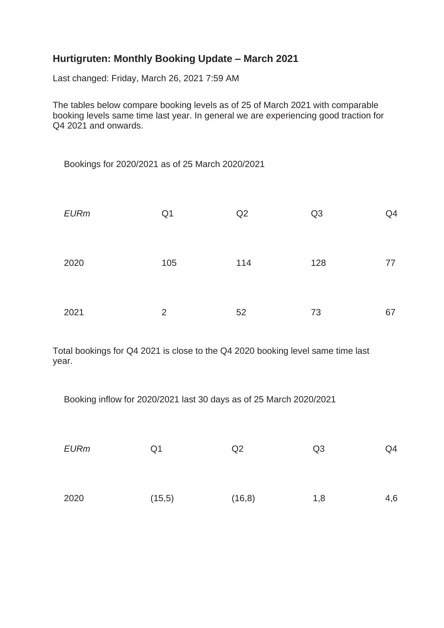## **Hurtigruten: Monthly Booking Update – March 2021**

Last changed: Friday, March 26, 2021 7:59 AM

The tables below compare booking levels as of 25 of March 2021 with comparable booking levels same time last year. In general we are experiencing good traction for Q4 2021 and onwards.

Bookings for 2020/2021 as of 25 March 2020/2021

| <b>EURm</b> | Q <sub>1</sub> | Q2  | Q <sub>3</sub> | Q4 |
|-------------|----------------|-----|----------------|----|
| 2020        | 105            | 114 | 128            | 77 |
| 2021        | $\overline{2}$ | 52  | 73             | 67 |

Total bookings for Q4 2021 is close to the Q4 2020 booking level same time last year.

Booking inflow for 2020/2021 last 30 days as of 25 March 2020/2021

| <b>EURm</b> | Q <sub>1</sub> | Q2      | Q <sub>3</sub> | Q4  |
|-------------|----------------|---------|----------------|-----|
| 2020        | (15, 5)        | (16, 8) | 1,8            | 4,6 |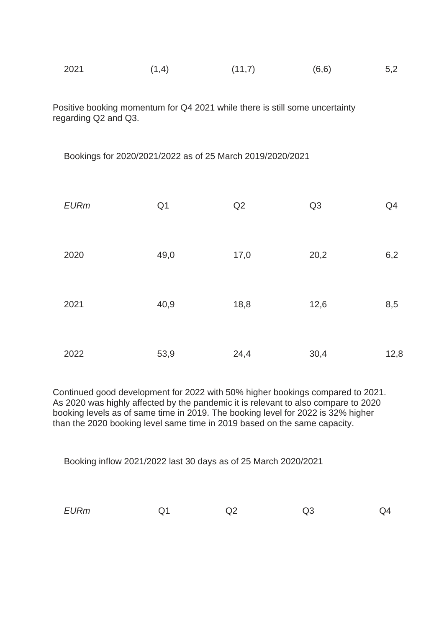| 2021<br>(6, 6)<br>(1,4)<br>(11,7)<br>5,2 |
|------------------------------------------|
|------------------------------------------|

Positive booking momentum for Q4 2021 while there is still some uncertainty regarding Q2 and Q3.

Bookings for 2020/2021/2022 as of 25 March 2019/2020/2021

| <b>EURm</b> | Q <sub>1</sub> | Q2   | Q3   | Q4   |
|-------------|----------------|------|------|------|
| 2020        | 49,0           | 17,0 | 20,2 | 6,2  |
| 2021        | 40,9           | 18,8 | 12,6 | 8,5  |
| 2022        | 53,9           | 24,4 | 30,4 | 12,8 |

Continued good development for 2022 with 50% higher bookings compared to 2021. As 2020 was highly affected by the pandemic it is relevant to also compare to 2020 booking levels as of same time in 2019. The booking level for 2022 is 32% higher than the 2020 booking level same time in 2019 based on the same capacity.

Booking inflow 2021/2022 last 30 days as of 25 March 2020/2021

| <b>EURm</b> | $\mathbf{A}$<br>◡ | ົົ<br>∠یک | Q3 | ∟0 |
|-------------|-------------------|-----------|----|----|
|             |                   |           |    |    |